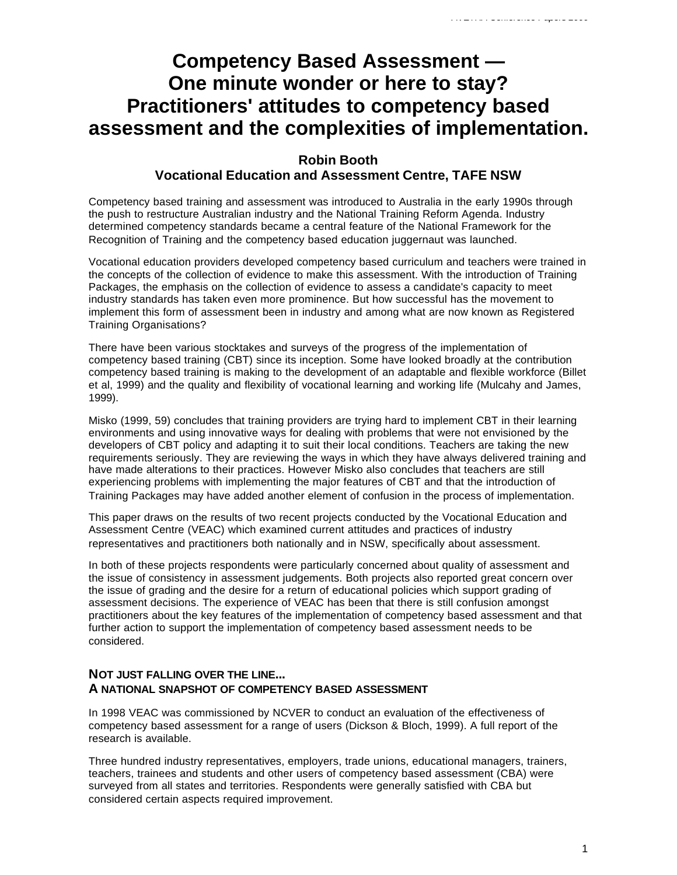# **Competency Based Assessment — One minute wonder or here to stay? Practitioners' attitudes to competency based assessment and the complexities of implementation.**

# **Robin Booth Vocational Education and Assessment Centre, TAFE NSW**

Competency based training and assessment was introduced to Australia in the early 1990s through the push to restructure Australian industry and the National Training Reform Agenda. Industry determined competency standards became a central feature of the National Framework for the Recognition of Training and the competency based education juggernaut was launched.

Vocational education providers developed competency based curriculum and teachers were trained in the concepts of the collection of evidence to make this assessment. With the introduction of Training Packages, the emphasis on the collection of evidence to assess a candidate's capacity to meet industry standards has taken even more prominence. But how successful has the movement to implement this form of assessment been in industry and among what are now known as Registered Training Organisations?

There have been various stocktakes and surveys of the progress of the implementation of competency based training (CBT) since its inception. Some have looked broadly at the contribution competency based training is making to the development of an adaptable and flexible workforce (Billet et al, 1999) and the quality and flexibility of vocational learning and working life (Mulcahy and James, 1999).

Misko (1999, 59) concludes that training providers are trying hard to implement CBT in their learning environments and using innovative ways for dealing with problems that were not envisioned by the developers of CBT policy and adapting it to suit their local conditions. Teachers are taking the new requirements seriously. They are reviewing the ways in which they have always delivered training and have made alterations to their practices. However Misko also concludes that teachers are still experiencing problems with implementing the major features of CBT and that the introduction of Training Packages may have added another element of confusion in the process of implementation.

This paper draws on the results of two recent projects conducted by the Vocational Education and Assessment Centre (VEAC) which examined current attitudes and practices of industry representatives and practitioners both nationally and in NSW, specifically about assessment.

In both of these projects respondents were particularly concerned about quality of assessment and the issue of consistency in assessment judgements. Both projects also reported great concern over the issue of grading and the desire for a return of educational policies which support grading of assessment decisions. The experience of VEAC has been that there is still confusion amongst practitioners about the key features of the implementation of competency based assessment and that further action to support the implementation of competency based assessment needs to be considered.

# **NOT JUST FALLING OVER THE LINE... A NATIONAL SNAPSHOT OF COMPETENCY BASED ASSESSMENT**

In 1998 VEAC was commissioned by NCVER to conduct an evaluation of the effectiveness of competency based assessment for a range of users (Dickson & Bloch, 1999). A full report of the research is available.

Three hundred industry representatives, employers, trade unions, educational managers, trainers, teachers, trainees and students and other users of competency based assessment (CBA) were surveyed from all states and territories. Respondents were generally satisfied with CBA but considered certain aspects required improvement.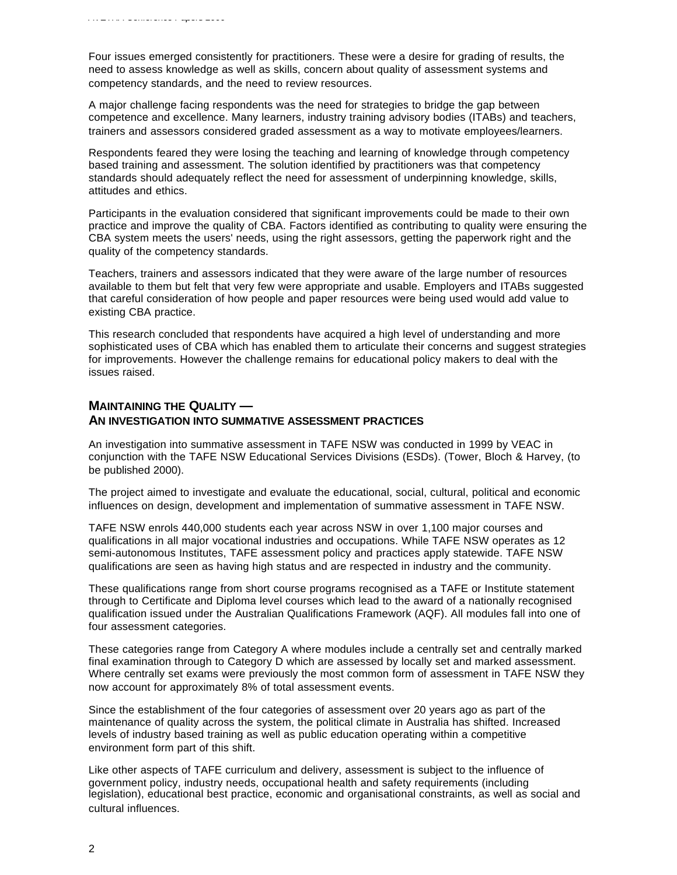Four issues emerged consistently for practitioners. These were a desire for grading of results, the need to assess knowledge as well as skills, concern about quality of assessment systems and competency standards, and the need to review resources.

A major challenge facing respondents was the need for strategies to bridge the gap between competence and excellence. Many learners, industry training advisory bodies (ITABs) and teachers, trainers and assessors considered graded assessment as a way to motivate employees/learners.

Respondents feared they were losing the teaching and learning of knowledge through competency based training and assessment. The solution identified by practitioners was that competency standards should adequately reflect the need for assessment of underpinning knowledge, skills, attitudes and ethics.

Participants in the evaluation considered that significant improvements could be made to their own practice and improve the quality of CBA. Factors identified as contributing to quality were ensuring the CBA system meets the users' needs, using the right assessors, getting the paperwork right and the quality of the competency standards.

Teachers, trainers and assessors indicated that they were aware of the large number of resources available to them but felt that very few were appropriate and usable. Employers and ITABs suggested that careful consideration of how people and paper resources were being used would add value to existing CBA practice.

This research concluded that respondents have acquired a high level of understanding and more sophisticated uses of CBA which has enabled them to articulate their concerns and suggest strategies for improvements. However the challenge remains for educational policy makers to deal with the issues raised.

# **MAINTAINING THE QUALITY — AN INVESTIGATION INTO SUMMATIVE ASSESSMENT PRACTICES**

An investigation into summative assessment in TAFE NSW was conducted in 1999 by VEAC in conjunction with the TAFE NSW Educational Services Divisions (ESDs). (Tower, Bloch & Harvey, (to be published 2000).

The project aimed to investigate and evaluate the educational, social, cultural, political and economic influences on design, development and implementation of summative assessment in TAFE NSW.

TAFE NSW enrols 440,000 students each year across NSW in over 1,100 major courses and qualifications in all major vocational industries and occupations. While TAFE NSW operates as 12 semi-autonomous Institutes, TAFE assessment policy and practices apply statewide. TAFE NSW qualifications are seen as having high status and are respected in industry and the community.

These qualifications range from short course programs recognised as a TAFE or Institute statement through to Certificate and Diploma level courses which lead to the award of a nationally recognised qualification issued under the Australian Qualifications Framework (AQF). All modules fall into one of four assessment categories.

These categories range from Category A where modules include a centrally set and centrally marked final examination through to Category D which are assessed by locally set and marked assessment. Where centrally set exams were previously the most common form of assessment in TAFE NSW they now account for approximately 8% of total assessment events.

Since the establishment of the four categories of assessment over 20 years ago as part of the maintenance of quality across the system, the political climate in Australia has shifted. Increased levels of industry based training as well as public education operating within a competitive environment form part of this shift.

Like other aspects of TAFE curriculum and delivery, assessment is subject to the influence of government policy, industry needs, occupational health and safety requirements (including legislation), educational best practice, economic and organisational constraints, as well as social and cultural influences.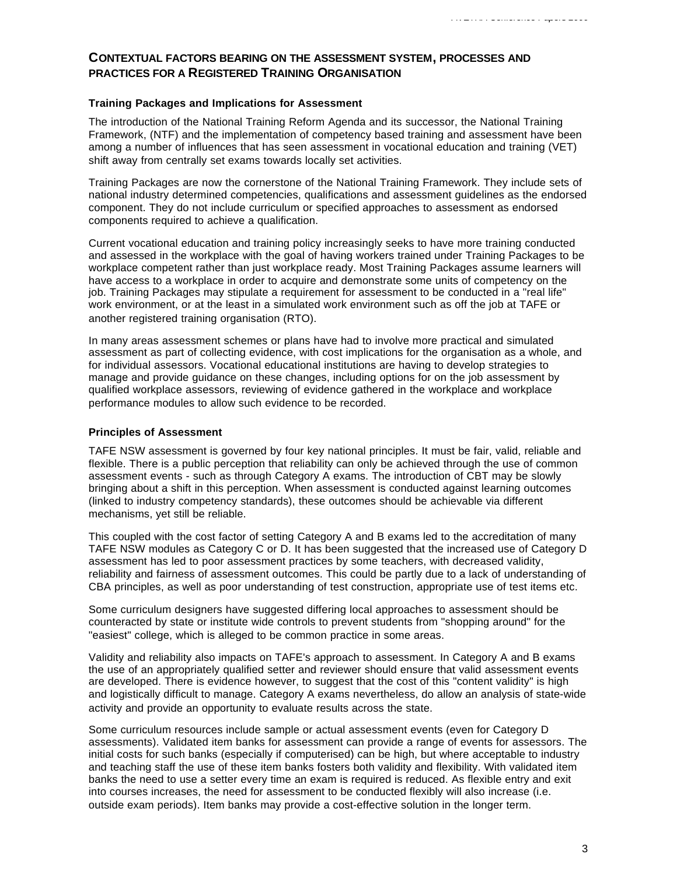# **CONTEXTUAL FACTORS BEARING ON THE ASSESSMENT SYSTEM, PROCESSES AND PRACTICES FOR A REGISTERED TRAINING ORGANISATION**

### **Training Packages and Implications for Assessment**

The introduction of the National Training Reform Agenda and its successor, the National Training Framework, (NTF) and the implementation of competency based training and assessment have been among a number of influences that has seen assessment in vocational education and training (VET) shift away from centrally set exams towards locally set activities.

Training Packages are now the cornerstone of the National Training Framework. They include sets of national industry determined competencies, qualifications and assessment guidelines as the endorsed component. They do not include curriculum or specified approaches to assessment as endorsed components required to achieve a qualification.

Current vocational education and training policy increasingly seeks to have more training conducted and assessed in the workplace with the goal of having workers trained under Training Packages to be workplace competent rather than just workplace ready. Most Training Packages assume learners will have access to a workplace in order to acquire and demonstrate some units of competency on the job. Training Packages may stipulate a requirement for assessment to be conducted in a "real life" work environment, or at the least in a simulated work environment such as off the job at TAFE or another registered training organisation (RTO).

In many areas assessment schemes or plans have had to involve more practical and simulated assessment as part of collecting evidence, with cost implications for the organisation as a whole, and for individual assessors. Vocational educational institutions are having to develop strategies to manage and provide guidance on these changes, including options for on the job assessment by qualified workplace assessors, reviewing of evidence gathered in the workplace and workplace performance modules to allow such evidence to be recorded.

### **Principles of Assessment**

TAFE NSW assessment is governed by four key national principles. It must be fair, valid, reliable and flexible. There is a public perception that reliability can only be achieved through the use of common assessment events - such as through Category A exams. The introduction of CBT may be slowly bringing about a shift in this perception. When assessment is conducted against learning outcomes (linked to industry competency standards), these outcomes should be achievable via different mechanisms, yet still be reliable.

This coupled with the cost factor of setting Category A and B exams led to the accreditation of many TAFE NSW modules as Category C or D. It has been suggested that the increased use of Category D assessment has led to poor assessment practices by some teachers, with decreased validity, reliability and fairness of assessment outcomes. This could be partly due to a lack of understanding of CBA principles, as well as poor understanding of test construction, appropriate use of test items etc.

Some curriculum designers have suggested differing local approaches to assessment should be counteracted by state or institute wide controls to prevent students from "shopping around" for the "easiest" college, which is alleged to be common practice in some areas.

Validity and reliability also impacts on TAFE's approach to assessment. In Category A and B exams the use of an appropriately qualified setter and reviewer should ensure that valid assessment events are developed. There is evidence however, to suggest that the cost of this "content validity" is high and logistically difficult to manage. Category A exams nevertheless, do allow an analysis of state-wide activity and provide an opportunity to evaluate results across the state.

Some curriculum resources include sample or actual assessment events (even for Category D assessments). Validated item banks for assessment can provide a range of events for assessors. The initial costs for such banks (especially if computerised) can be high, but where acceptable to industry and teaching staff the use of these item banks fosters both validity and flexibility. With validated item banks the need to use a setter every time an exam is required is reduced. As flexible entry and exit into courses increases, the need for assessment to be conducted flexibly will also increase (i.e. outside exam periods). Item banks may provide a cost-effective solution in the longer term.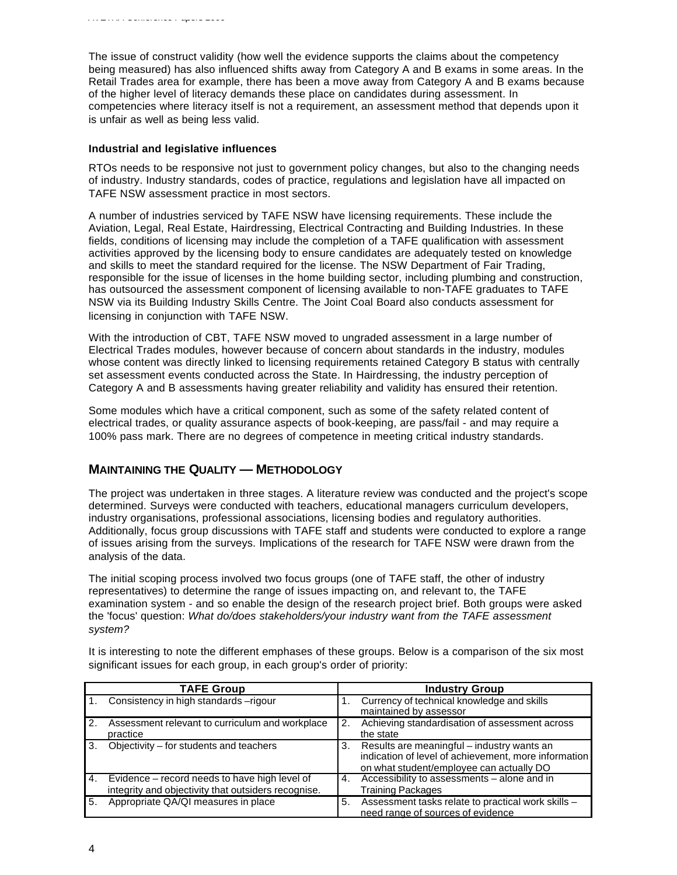competencies where literacy itself is not a requirement, an assessment method that depends upon it is unfair as well as being less valid.

# **Industrial and legislative influences**

*AVETRA Conference Papers 2000*

RTOs needs to be responsive not just to government policy changes, but also to the changing needs of industry. Industry standards, codes of practice, regulations and legislation have all impacted on TAFE NSW assessment practice in most sectors.

A number of industries serviced by TAFE NSW have licensing requirements. These include the Aviation, Legal, Real Estate, Hairdressing, Electrical Contracting and Building Industries. In these fields, conditions of licensing may include the completion of a TAFE qualification with assessment activities approved by the licensing body to ensure candidates are adequately tested on knowledge and skills to meet the standard required for the license. The NSW Department of Fair Trading, responsible for the issue of licenses in the home building sector, including plumbing and construction, has outsourced the assessment component of licensing available to non-TAFE graduates to TAFE NSW via its Building Industry Skills Centre. The Joint Coal Board also conducts assessment for licensing in conjunction with TAFE NSW.

With the introduction of CBT, TAFE NSW moved to ungraded assessment in a large number of Electrical Trades modules, however because of concern about standards in the industry, modules whose content was directly linked to licensing requirements retained Category B status with centrally set assessment events conducted across the State. In Hairdressing, the industry perception of Category A and B assessments having greater reliability and validity has ensured their retention.

Some modules which have a critical component, such as some of the safety related content of electrical trades, or quality assurance aspects of book-keeping, are pass/fail - and may require a 100% pass mark. There are no degrees of competence in meeting critical industry standards.

# **MAINTAINING THE QUALITY — METHODOLOGY**

The project was undertaken in three stages. A literature review was conducted and the project's scope determined. Surveys were conducted with teachers, educational managers curriculum developers, industry organisations, professional associations, licensing bodies and regulatory authorities. Additionally, focus group discussions with TAFE staff and students were conducted to explore a range of issues arising from the surveys. Implications of the research for TAFE NSW were drawn from the analysis of the data.

The initial scoping process involved two focus groups (one of TAFE staff, the other of industry representatives) to determine the range of issues impacting on, and relevant to, the TAFE examination system - and so enable the design of the research project brief. Both groups were asked the 'focus' question: *What do/does stakeholders/your industry want from the TAFE assessment system?*

|    | <b>TAFE Group</b>                                                                                    |                  | <b>Industry Group</b>                                                                                                                          |  |
|----|------------------------------------------------------------------------------------------------------|------------------|------------------------------------------------------------------------------------------------------------------------------------------------|--|
|    | Consistency in high standards -rigour                                                                |                  | Currency of technical knowledge and skills<br>maintained by assessor                                                                           |  |
| 2. | Assessment relevant to curriculum and workplace<br>practice                                          | $\overline{2}$ . | Achieving standardisation of assessment across<br>the state                                                                                    |  |
| 3. | Objectivity – for students and teachers                                                              | 3.               | Results are meaningful – industry wants an<br>indication of level of achievement, more information<br>on what student/employee can actually DO |  |
| 4. | Evidence – record needs to have high level of<br>integrity and objectivity that outsiders recognise. | 4.               | Accessibility to assessments - alone and in<br><b>Training Packages</b>                                                                        |  |
| 5. | Appropriate QA/QI measures in place                                                                  | 5.               | Assessment tasks relate to practical work skills -<br>need range of sources of evidence                                                        |  |

It is interesting to note the different emphases of these groups. Below is a comparison of the six most significant issues for each group, in each group's order of priority: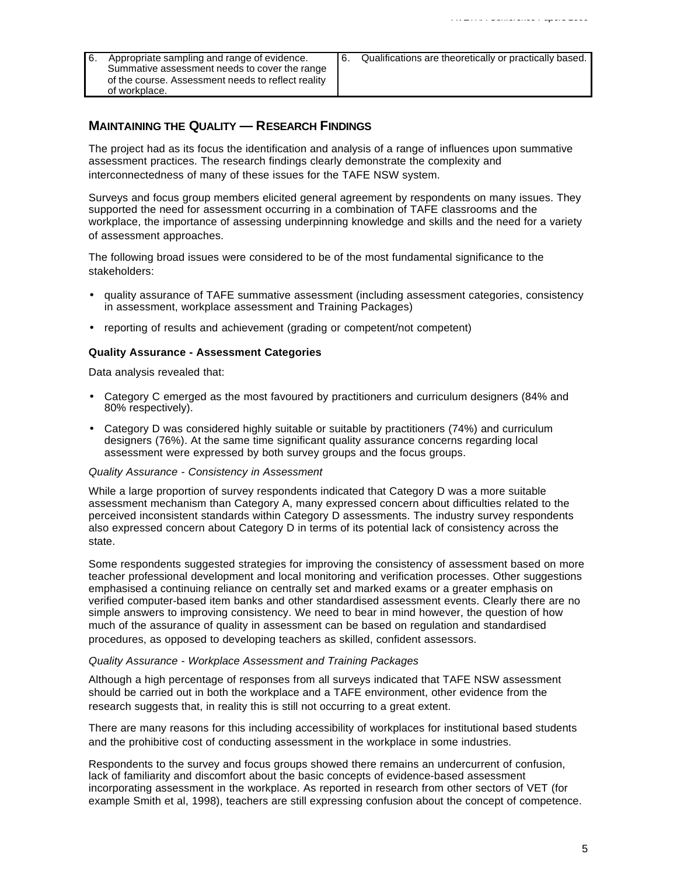- 6. Appropriate sampling and range of evidence. Summative assessment needs to cover the range of the course. Assessment needs to reflect reality of workplace.
- 6. Qualifications are theoretically or practically based.

## **MAINTAINING THE QUALITY — RESEARCH FINDINGS**

The project had as its focus the identification and analysis of a range of influences upon summative assessment practices. The research findings clearly demonstrate the complexity and interconnectedness of many of these issues for the TAFE NSW system.

Surveys and focus group members elicited general agreement by respondents on many issues. They supported the need for assessment occurring in a combination of TAFE classrooms and the workplace, the importance of assessing underpinning knowledge and skills and the need for a variety of assessment approaches.

The following broad issues were considered to be of the most fundamental significance to the stakeholders:

- quality assurance of TAFE summative assessment (including assessment categories, consistency in assessment, workplace assessment and Training Packages)
- reporting of results and achievement (grading or competent/not competent)

### **Quality Assurance - Assessment Categories**

Data analysis revealed that:

- Category C emerged as the most favoured by practitioners and curriculum designers (84% and 80% respectively).
- Category D was considered highly suitable or suitable by practitioners (74%) and curriculum designers (76%). At the same time significant quality assurance concerns regarding local assessment were expressed by both survey groups and the focus groups.

#### *Quality Assurance - Consistency in Assessment*

While a large proportion of survey respondents indicated that Category D was a more suitable assessment mechanism than Category A, many expressed concern about difficulties related to the perceived inconsistent standards within Category D assessments. The industry survey respondents also expressed concern about Category D in terms of its potential lack of consistency across the state.

Some respondents suggested strategies for improving the consistency of assessment based on more teacher professional development and local monitoring and verification processes. Other suggestions emphasised a continuing reliance on centrally set and marked exams or a greater emphasis on verified computer-based item banks and other standardised assessment events. Clearly there are no simple answers to improving consistency. We need to bear in mind however, the question of how much of the assurance of quality in assessment can be based on regulation and standardised procedures, as opposed to developing teachers as skilled, confident assessors.

#### *Quality Assurance - Workplace Assessment and Training Packages*

Although a high percentage of responses from all surveys indicated that TAFE NSW assessment should be carried out in both the workplace and a TAFE environment, other evidence from the research suggests that, in reality this is still not occurring to a great extent.

There are many reasons for this including accessibility of workplaces for institutional based students and the prohibitive cost of conducting assessment in the workplace in some industries.

Respondents to the survey and focus groups showed there remains an undercurrent of confusion, lack of familiarity and discomfort about the basic concepts of evidence-based assessment incorporating assessment in the workplace. As reported in research from other sectors of VET (for example Smith et al, 1998), teachers are still expressing confusion about the concept of competence.